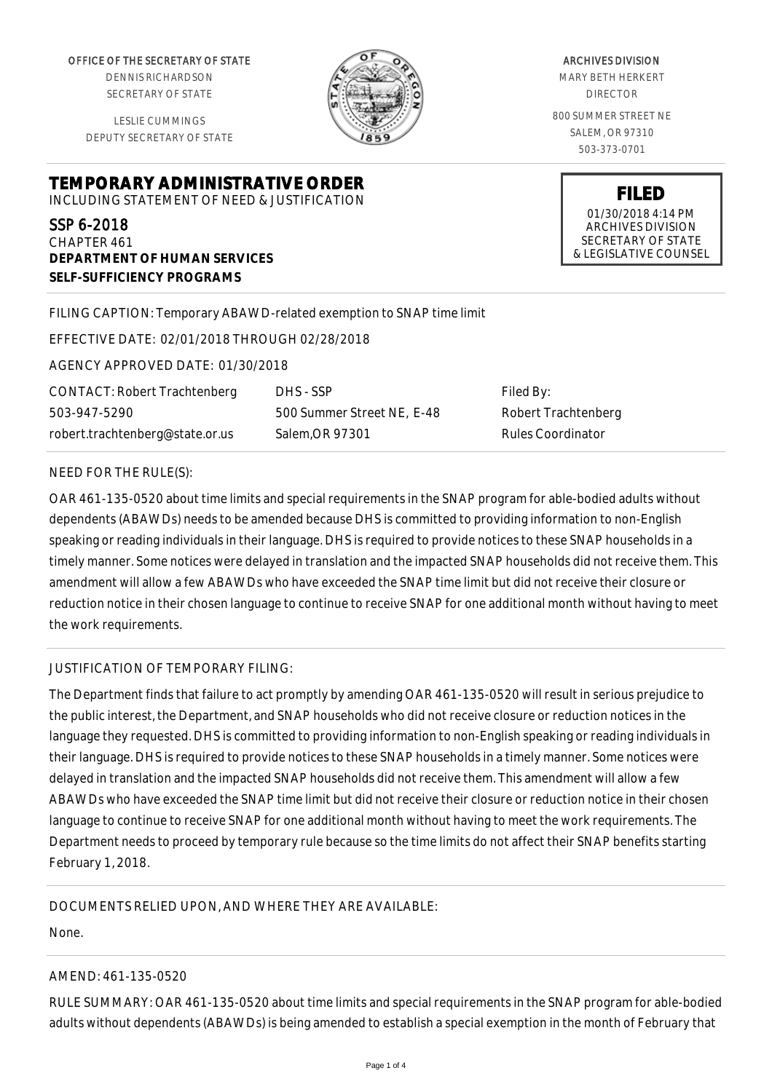OFFICE OF THE SECRETARY OF STATE

DENNIS RICHARDSON SECRETARY OF STATE

LESLIE CUMMINGS DEPUTY SECRETARY OF STATE

**TEMPORARY ADMINISTRATIVE ORDER** INCLUDING STATEMENT OF NEED & JUSTIFICATION

## SSP 6-2018

CHAPTER 461 **DEPARTMENT OF HUMAN SERVICES SELF-SUFFICIENCY PROGRAMS**

## FILING CAPTION: Temporary ABAWD-related exemption to SNAP time limit

EFFECTIVE DATE: 02/01/2018 THROUGH 02/28/2018

AGENCY APPROVED DATE: 01/30/2018

CONTACT: Robert Trachtenberg 503-947-5290 robert.trachtenberg@state.or.us

DHS - SSP 500 Summer Street NE, E-48 Salem,OR 97301

Filed By: Robert Trachtenberg Rules Coordinator

#### NEED FOR THE RULE(S):

OAR 461-135-0520 about time limits and special requirements in the SNAP program for able-bodied adults without dependents (ABAWDs) needs to be amended because DHS is committed to providing information to non-English speaking or reading individuals in their language. DHS is required to provide notices to these SNAP households in a timely manner. Some notices were delayed in translation and the impacted SNAP households did not receive them. This amendment will allow a few ABAWDs who have exceeded the SNAP time limit but did not receive their closure or reduction notice in their chosen language to continue to receive SNAP for one additional month without having to meet the work requirements.

## JUSTIFICATION OF TEMPORARY FILING:

The Department finds that failure to act promptly by amending OAR 461-135-0520 will result in serious prejudice to the public interest, the Department, and SNAP households who did not receive closure or reduction notices in the language they requested. DHS is committed to providing information to non-English speaking or reading individuals in their language. DHS is required to provide notices to these SNAP households in a timely manner. Some notices were delayed in translation and the impacted SNAP households did not receive them. This amendment will allow a few ABAWDs who have exceeded the SNAP time limit but did not receive their closure or reduction notice in their chosen language to continue to receive SNAP for one additional month without having to meet the work requirements. The Department needs to proceed by temporary rule because so the time limits do not affect their SNAP benefits starting February 1, 2018.

DOCUMENTS RELIED UPON, AND WHERE THEY ARE AVAILABLE:

None.

## AMEND: 461-135-0520

RULE SUMMARY: OAR 461-135-0520 about time limits and special requirements in the SNAP program for able-bodied adults without dependents (ABAWDs) is being amended to establish a special exemption in the month of February that

MARY BETH HERKERT DIRECTOR 800 SUMMER STREET NE SALEM, OR 97310

503-373-0701

**FILED** 01/30/2018 4:14 PM ARCHIVES DIVISION SECRETARY OF STATE & LEGISLATIVE COUNSEL

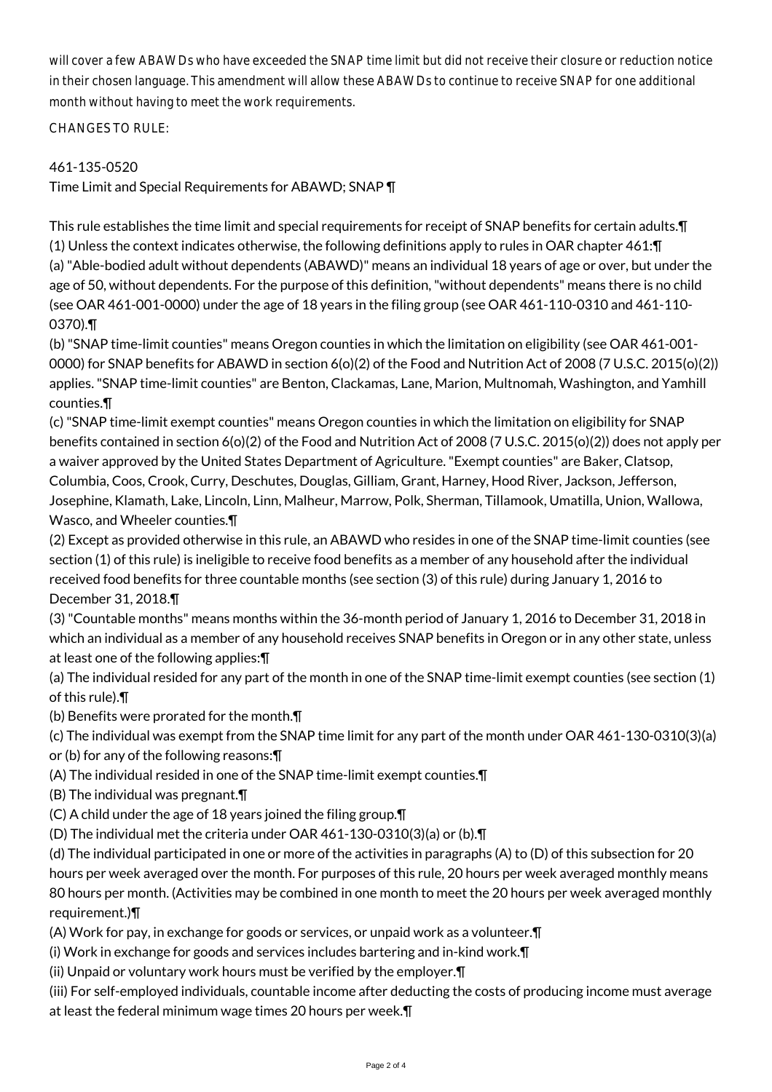will cover a few ABAWDs who have exceeded the SNAP time limit but did not receive their closure or reduction notice in their chosen language. This amendment will allow these ABAWDs to continue to receive SNAP for one additional month without having to meet the work requirements.

CHANGES TO RULE:

# 461-135-0520

Time Limit and Special Requirements for ABAWD; SNAP ¶

This rule establishes the time limit and special requirements for receipt of SNAP benefits for certain adults.¶ (1) Unless the context indicates otherwise, the following definitions apply to rules in OAR chapter 461:¶ (a) "Able-bodied adult without dependents (ABAWD)" means an individual 18 years of age or over, but under the age of 50, without dependents. For the purpose of this definition, "without dependents" means there is no child (see OAR 461-001-0000) under the age of 18 years in the filing group (see OAR 461-110-0310 and 461-110- 0370).¶

(b) "SNAP time-limit counties" means Oregon counties in which the limitation on eligibility (see OAR 461-001- 0000) for SNAP benefits for ABAWD in section 6(o)(2) of the Food and Nutrition Act of 2008 (7 U.S.C. 2015(o)(2)) applies. "SNAP time-limit counties" are Benton, Clackamas, Lane, Marion, Multnomah, Washington, and Yamhill counties.¶

(c) "SNAP time-limit exempt counties" means Oregon counties in which the limitation on eligibility for SNAP benefits contained in section 6(o)(2) of the Food and Nutrition Act of 2008 (7 U.S.C. 2015(o)(2)) does not apply per a waiver approved by the United States Department of Agriculture. "Exempt counties" are Baker, Clatsop, Columbia, Coos, Crook, Curry, Deschutes, Douglas, Gilliam, Grant, Harney, Hood River, Jackson, Jefferson, Josephine, Klamath, Lake, Lincoln, Linn, Malheur, Marrow, Polk, Sherman, Tillamook, Umatilla, Union, Wallowa, Wasco, and Wheeler counties.¶

(2) Except as provided otherwise in this rule, an ABAWD who resides in one of the SNAP time-limit counties (see section (1) of this rule) is ineligible to receive food benefits as a member of any household after the individual received food benefits for three countable months (see section (3) of this rule) during January 1, 2016 to December 31, 2018.¶

(3) "Countable months" means months within the 36-month period of January 1, 2016 to December 31, 2018 in which an individual as a member of any household receives SNAP benefits in Oregon or in any other state, unless at least one of the following applies:¶

(a) The individual resided for any part of the month in one of the SNAP time-limit exempt counties (see section (1) of this rule).¶

(b) Benefits were prorated for the month.¶

(c) The individual was exempt from the SNAP time limit for any part of the month under OAR 461-130-0310(3)(a)

or (b) for any of the following reasons:¶

(A) The individual resided in one of the SNAP time-limit exempt counties.¶

(B) The individual was pregnant.¶

(C) A child under the age of 18 years joined the filing group.¶

(D) The individual met the criteria under OAR 461-130-0310(3)(a) or (b).¶

(d) The individual participated in one or more of the activities in paragraphs (A) to (D) of this subsection for 20 hours per week averaged over the month. For purposes of this rule, 20 hours per week averaged monthly means 80 hours per month. (Activities may be combined in one month to meet the 20 hours per week averaged monthly requirement.)¶

(A) Work for pay, in exchange for goods or services, or unpaid work as a volunteer.¶

(i) Work in exchange for goods and services includes bartering and in-kind work.¶

(ii) Unpaid or voluntary work hours must be verified by the employer.¶

(iii) For self-employed individuals, countable income after deducting the costs of producing income must average at least the federal minimum wage times 20 hours per week.¶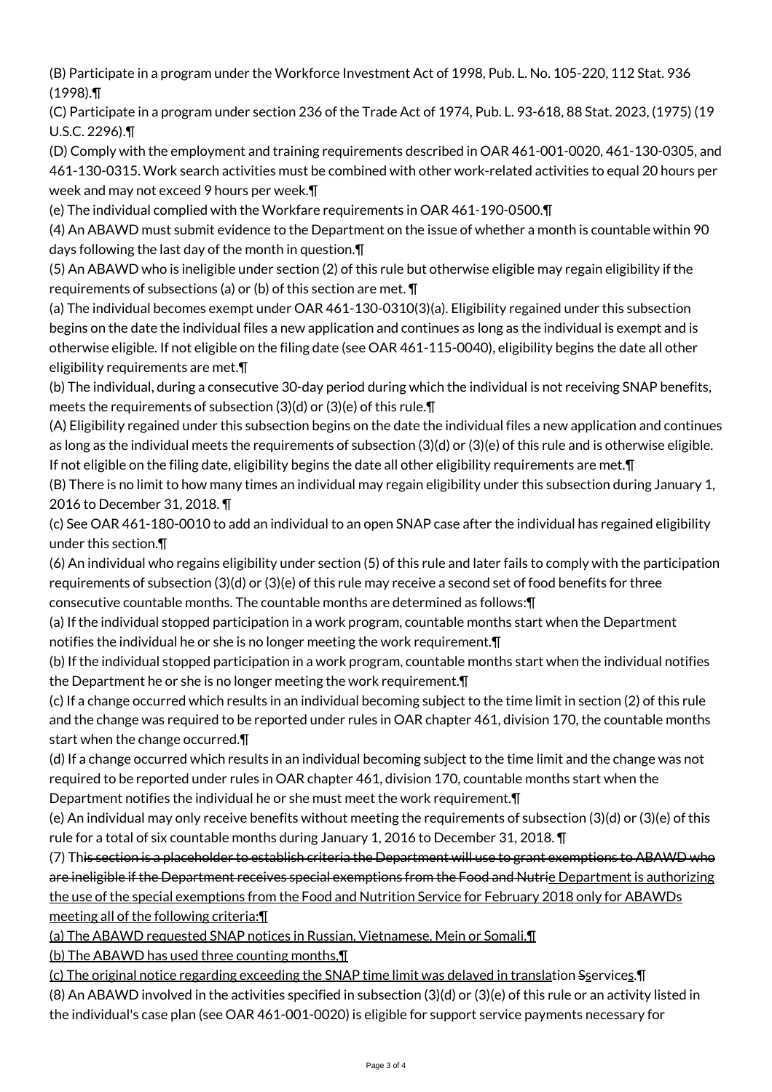(B) Participate in a program under the Workforce Investment Act of 1998, Pub. L. No. 105-220, 112 Stat. 936 (1998).¶

(C) Participate in a program under section 236 of the Trade Act of 1974, Pub. L. 93-618, 88 Stat. 2023, (1975) (19 U.S.C. 2296).¶

(D) Comply with the employment and training requirements described in OAR 461-001-0020, 461-130-0305, and 461-130-0315. Work search activities must be combined with other work-related activities to equal 20 hours per week and may not exceed 9 hours per week.¶

(e) The individual complied with the Workfare requirements in OAR 461-190-0500.¶

(4) An ABAWD must submit evidence to the Department on the issue of whether a month is countable within 90 days following the last day of the month in question.¶

(5) An ABAWD who is ineligible under section (2) of this rule but otherwise eligible may regain eligibility if the requirements of subsections (a) or (b) of this section are met. ¶

(a) The individual becomes exempt under OAR 461-130-0310(3)(a). Eligibility regained under this subsection begins on the date the individual files a new application and continues as long as the individual is exempt and is otherwise eligible. If not eligible on the filing date (see OAR 461-115-0040), eligibility begins the date all other eligibility requirements are met.¶

(b) The individual, during a consecutive 30-day period during which the individual is not receiving SNAP benefits, meets the requirements of subsection (3)(d) or (3)(e) of this rule.¶

(A) Eligibility regained under this subsection begins on the date the individual files a new application and continues as long as the individual meets the requirements of subsection (3)(d) or (3)(e) of this rule and is otherwise eligible. If not eligible on the filing date, eligibility begins the date all other eligibility requirements are met.¶

(B) There is no limit to how many times an individual may regain eligibility under this subsection during January 1, 2016 to December 31, 2018. ¶

(c) See OAR 461-180-0010 to add an individual to an open SNAP case after the individual has regained eligibility under this section.¶

(6) An individual who regains eligibility under section (5) of this rule and later fails to comply with the participation requirements of subsection (3)(d) or (3)(e) of this rule may receive a second set of food benefits for three consecutive countable months. The countable months are determined as follows:¶

(a) If the individual stopped participation in a work program, countable months start when the Department notifies the individual he or she is no longer meeting the work requirement.¶

(b) If the individual stopped participation in a work program, countable months start when the individual notifies the Department he or she is no longer meeting the work requirement.¶

(c) If a change occurred which results in an individual becoming subject to the time limit in section (2) of this rule and the change was required to be reported under rules in OAR chapter 461, division 170, the countable months start when the change occurred.¶

(d) If a change occurred which results in an individual becoming subject to the time limit and the change was not required to be reported under rules in OAR chapter 461, division 170, countable months start when the Department notifies the individual he or she must meet the work requirement.¶

(e) An individual may only receive benefits without meeting the requirements of subsection (3)(d) or (3)(e) of this rule for a total of six countable months during January 1, 2016 to December 31, 2018. ¶

(7) This section is a placeholder to establish criteria the Department will use to grant exemptions to ABAWD who are ineligible if the Department receives special exemptions from the Food and Nutrie Department is authorizing the use of the special exemptions from the Food and Nutrition Service for February 2018 only for ABAWDs meeting all of the following criteria:¶

(a) The ABAWD requested SNAP notices in Russian, Vietnamese, Mein or Somali.¶

(b) The ABAWD has used three counting months,¶

(c) The original notice regarding exceeding the SNAP time limit was delayed in translation Sservices.¶ (8) An ABAWD involved in the activities specified in subsection (3)(d) or (3)(e) of this rule or an activity listed in the individual's case plan (see OAR 461-001-0020) is eligible for support service payments necessary for